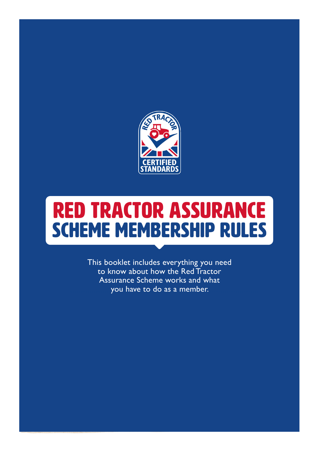

# red tractor assurance SCHEME MEMBERSHIP RULES

to know about how the Red Tractor<br>Assurance Scheme works and what SCHEME MEMBERSHIP RULES Effective 1 august 2020<br>This booklet includes every thing you have to do as a member.<br>This booklet includes every thing you need to know what is a member. This booklet includes everything you need Assurance Scheme works and what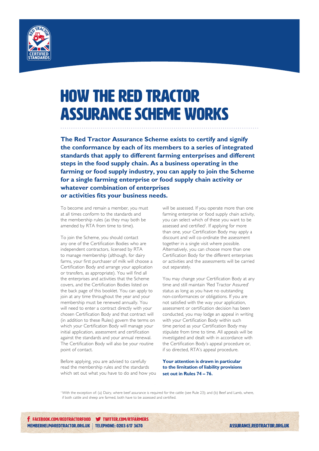

# HOW THE RED TRACTOR ASSURANCE SCHEME WORKS

**The Red Tractor Assurance Scheme exists to certify and signify the conformance by each of its members to a series of integrated standards that apply to different farming enterprises and different steps in the food supply chain. As a business operating in the farming or food supply industry, you can apply to join the Scheme for a single farming enterprise or food supply chain activity or whatever combination of enterprises or activities fits your business needs.** 

To become and remain a member, you must at all times conform to the standards and the membership rules (as they may both be amended by RTA from time to time).

To join the Scheme, you should contact any one of the Certification Bodies who are independent contractors, licensed by RTA to manage membership (although, for dairy farms, your first purchaser of milk will choose a Certification Body and arrange your application or transfers, as appropriate). You will find all the enterprises and activities that the Scheme covers, and the Certification Bodies listed on the back page of this booklet. You can apply to join at any time throughout the year and your membership must be renewed annually. You will need to enter a contract directly with your chosen Certification Body and that contract will (in addition to these Rules) govern the terms on which your Certification Body will manage your initial application, assessment and certification against the standards and your annual renewal. The Certification Body will also be your routine point of contact.

Before applying, you are advised to carefully read the membership rules and the standards which set out what you have to do and how you

will be assessed. If you operate more than one farming enterprise or food supply chain activity, you can select which of these you want to be assessed and certified<sup>1</sup>. If applying for more than one, your Certification Body may apply a discount and will co-ordinate the assessment together in a single visit where possible. Alternatively, you can choose more than one Certification Body for the different enterprises or activities and the assessments will be carried out separately.

You may change your Certification Body at any time and still maintain 'Red Tractor Assured' status as long as you have no outstanding non-conformances or obligations. If you are not satisfied with the way your application, assessment or certification decision has been conducted, you may lodge an appeal in writing with your Certification Body within such time period as your Certification Body may stipulate from time to time. All appeals will be investigated and dealt with in accordance with the Certification Body's appeal procedure or, if so directed, RTA's appeal procedure.

#### **Your attention is drawn in particular to the limitation of liability provisions set out in Rules 74 – 76.**

<sup>1</sup>With the exception of: (a) Dairy, where beef assurance is required for the cattle (see Rule 23); and (b) Beef and Lamb, where, if both cattle and sheep are farmed, both have to be assessed and certified.

**f** FACEBOOK.COM/REDTRACTORFOOD **W** TWITTER.COM/RTFARMERS MEMBERHELP@REDTRACTOR.ORG.UK | TELEPHONE: 0203 617 3670

**ASSURANCE.REDTRACTOR.ORG.UK**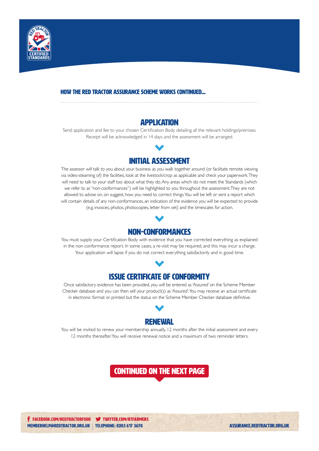

#### HOw the red tractor ASSURANCE SCHEME WORKS continued...

#### **APPLICATION**

Send application and fee to your chosen Certification Body detailing all the relevant holdings/premises. Receipt will be acknowledged in 14 days and the assessment will be arranged.



The assessor will talk to you about your business as you walk together around (or facilitate remote viewing via video-steaming of) the facilities, look at the livestock/crop as applicable and check your paperwork. They will need to talk to your staff too about what they do. Any areas which do not meet the Standards (which we refer to as "non-conformances") will be highlighted to you throughout the assessment. They are not allowed to advise on, on suggest, how you need to correct things. You will be left or sent a report which will contain details of any non-conformances, an indication of the evidence you will be expected to provide (e.g. invoices, photos, photocopies, letter from vet) and the timescales for action.



You must supply your Certification Body with evidence that you have corrected everything as explained in the non-conformance report. In some cases, a re-visit may be required, and this may incur a charge. Your application will lapse if you do not correct everything satisfactorily and in good time.

### Issue Certificate of Conformity

Once satisfactory evidence has been provided, you will be entered as 'Assured' on the Scheme Member Checker database and you can then sell your product(s) as 'Assured'. You may receive an actual certificate in electronic format or printed but the status on the Scheme Member Checker database definitive.



You will be invited to renew your membership annually, 12 months after the initial assessment and every 12 months thereafter. You will receive renewal notice and a maximum of two reminder letters.

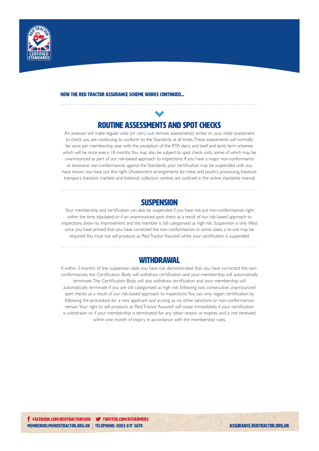

#### HOw the red tractor ASSURANCE SCHEME WORKS continued...

### Routine Assessments and Spot Checks

An assessor will make regular visits (or carry out remote assessments) similar to your initial assessment to check you are continuing to conform to the Standards at all times. These assessments will normally be once per membership year with the exception of the RTA dairy and beef and lamb farm schemes which will be once every 18 months. You may also be subject to spot check visits, some of which may be unannounced as part of our risk-based approach to inspections. If you have a major non-conformance or excessive non-conformances against the Standards, your certification may be suspended until you have shown you have put this right. (Assessment arrangements for meat and poultry processing, livestock transport, livestock markets and livestock collection centres are outlined in the online standards manual.

#### **SUSPENSION**

Your membership and certification can also be suspended if you have not put non-conformances right within the time stipulated or if an unannounced spot check as a result of our risk-based approach to inspections show no improvement and the member is still categorised as high risk. Suspension is only lifted once you have proved that you have corrected the non-conformances. In some cases, a re-visit may be required. You must not sell products as 'Red Tractor Assured' whilst your certification is suspended.

#### **WITHDRAWAL**

If within 3 months of the suspension date you have not demonstrated that you have corrected the nonconformances, the Certification Body will withdraw certification and your membership will automatically terminate. The Certification Body will also withdraw certification and your membership will automatically terminate if you are still categorised as high risk following two consecutive unannounced spot checks as a result of our risk-based approach to inspections. You can only regain certification by following the procedure for a new applicant and as long as no other sanctions or non-conformances remain. Your right to sell products as 'Red Tractor Assured' will cease immediately if your certification is withdrawn or if your membership is terminated for any other reason or expires and is not renewed within one month of expiry in accordance with the membership rules.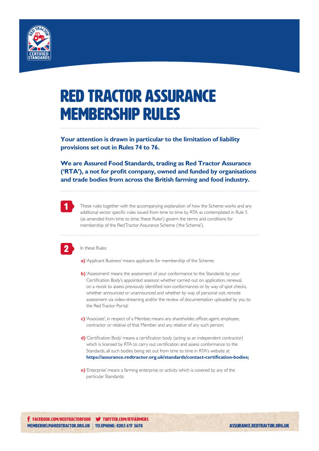

## RED TRACTOR assurance membership rules

**Your attention is drawn in particular to the limitation of liability provisions set out in Rules 74 to 76.** 

**We are Assured Food Standards, trading as Red Tractor Assurance ('RTA'), a not for profit company, owned and funded by organisations and trade bodies from across the British farming and food industry.** 



These rules together with the accompanying explanation of how the Scheme works and any additional sector specific rules issued from time to time by RTA as contemplated in Rule 5 (as amended from time to time, 'these Rules') govern the terms and conditions for membership of the Red Tractor Assurance Scheme ('the Scheme').



In these Rules:

**a)** 'Applicant Business' means applicants for membership of the Scheme;

- **b)** 'Assessment' means the assessment of your conformance to the Standards by your Certification Body's appointed assessor, whether carried out on application, renewal, on a revisit to assess previously identified non-conformances or by way of spot checks, whether announced or unannounced and whether by way of personal visit, remote assessment via video-streaming and/or the review of documentation uploaded by you to the Red Tractor Portal;
- **c)** 'Associate', in respect of a Member, means any shareholder, officer, agent, employee, contractor or relative of that Member and any relative of any such person;
- **d)** 'Certification Body' means a certification body (acting as an independent contractor) which is licensed by RTA to carry out certification and assess conformance to the Standards, all such bodies being set out from time to time in RTA's website at **https://assurance.redtractor.org.uk/standards/contact-certification-bodies;**
- **e)** 'Enterprise' means a farming enterprise or activity which is covered by any of the particular Standards;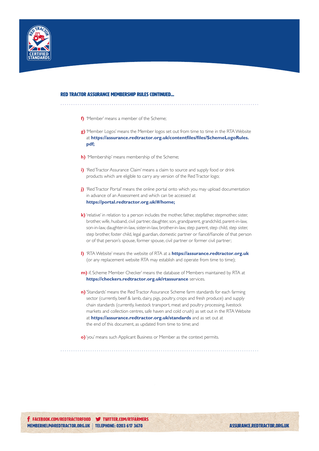

#### red tractor ASSURANCE membership rules continued...

- **f)** 'Member' means a member of the Scheme;
- **g)** 'Member Logos' means the Member logos set out from time to time in the RTA Website at **https://assurance.redtractor.org.uk/contentfiles/files/SchemeLogoRules. pdf;**
- **h)** 'Membership' means membership of the Scheme;
- **i)** 'Red Tractor Assurance Claim' means a claim to source and supply food or drink products which are eligible to carry any version of the Red Tractor logo;
- **j)** 'Red Tractor Portal' means the online portal onto which you may upload documentation in advance of an Assessment and which can be accessed at **https://portal.redtractor.org.uk/#/home;**
- **k)** 'relative' in relation to a person includes the mother, father, stepfather, stepmother, sister, brother, wife, husband, civil partner, daughter, son, grandparent, grandchild, parent-in-law, son-in-law, daughter-in-law, sister-in-law, brother-in-law, step parent, step child, step sister, step brother, foster child, legal guardian, domestic partner or fiancé/fiancée of that person or of that person's spouse, former spouse, civil partner or former civil partner;
- **l)** 'RTA Website' means the website of RTA at a **https://assurance.redtractor.org.uk** (or any replacement website RTA may establish and operate from time to time);
- **m)** if, Scheme Member Checker' means the database of Members maintained by RTA at **https://checkers.redtractor.org.uk/rtassurance** services.
- **n)**'Standards' means the Red Tractor Assurance Scheme farm standards for each farming sector (currently, beef & lamb, dairy, pigs, poultry, crops and fresh produce) and supply chain standards (currently, livestock transport, meat and poultry processing, livestock markets and collection centres, safe haven and cold crush) as set out in the RTA Website at **https://assurance.redtractor.org.uk/standards** and as set out at the end of this document, as updated from time to time; and
- **o)** 'you' means such Applicant Business or Member as the context permits.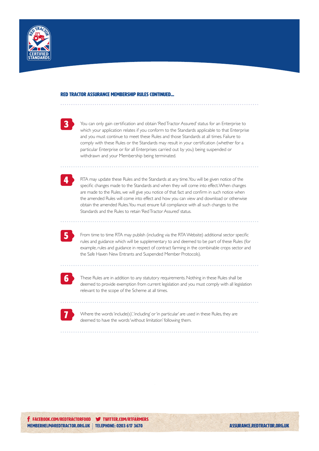



You can only gain certification and obtain 'Red Tractor Assured' status for an Enterprise to which your application relates if you conform to the Standards applicable to that Enterprise and you must continue to meet these Rules and those Standards at all times. Failure to comply with these Rules or the Standards may result in your certification (whether for a particular Enterprise or for all Enterprises carried out by you) being suspended or withdrawn and your Membership being terminated.



RTA may update these Rules and the Standards at any time. You will be given notice of the specific changes made to the Standards and when they will come into effect. When changes are made to the Rules, we will give you notice of that fact and confirm in such notice when the amended Rules will come into effect and how you can view and download or otherwise obtain the amended Rules. You must ensure full compliance with all such changes to the Standards and the Rules to retain 'Red Tractor Assured' status.



From time to time RTA may publish (including via the RTA Website) additional sector specific rules and guidance which will be supplementary to and deemed to be part of these Rules (for example, rules and guidance in respect of contract farming in the combinable crops sector and the Safe Haven New Entrants and Suspended Member Protocols).



These Rules are in addition to any statutory requirements. Nothing in these Rules shall be deemed to provide exemption from current legislation and you must comply with all legislation relevant to the scope of the Scheme at all times.



Where the words 'include(s)', 'including' or 'in particular' are used in these Rules, they are deemed to have the words 'without limitation' following them.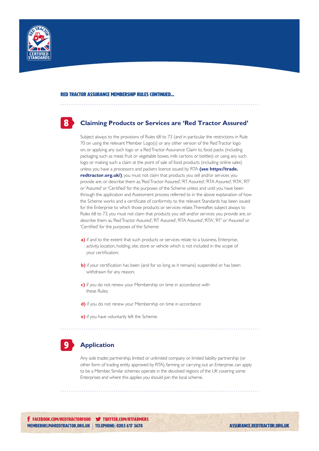

8

#### **Claiming Products or Services are 'Red Tractor Assured'**

Subject always to the provisions of Rules 68 to 73 (and in particular the restrictions in Rule 70 on using the relevant Member Logo(s) or any other version of the Red Tractor logo on, or applying any such logo or a Red Tractor Assurance Claim to, food packs (including packaging such as meat, fruit or vegetable boxes, milk cartons or bottles) or using any such logo or making such a claim at the point of sale of food products (including online sales) unless you have a processors and packers licence issued by RTA **(see https://trade. redtractor.org.uk/)**, you must not claim that products you sell and/or services you provide are, or describe them as, 'Red Tractor Assured', 'RT Assured', 'RTA Assured', 'RTA', 'RT' or 'Assured' or 'Certified' for the purposes of the Scheme unless and until you have been through the application and Assessment process referred to in the above explanation of how the Scheme works and a certificate of conformity to the relevant Standards has been issued for the Enterprise to which those products or services relate. Thereafter, subject always to Rules 68 to 73, you must not claim that products you sell and/or services you provide are, or describe them as, 'Red Tractor Assured', 'RT Assured', 'RTA Assured', 'RTA', 'RT' or 'Assured' or 'Certified' for the purposes of the Scheme:

- **a)** if and to the extent that such products or services relate to a business, Enterprise, activity, location, holding, site, store or vehicle which is not included in the scope of your certification;
- **b)** if your certification has been (and for so long as it remains) suspended or has been withdrawn for any reason;
- **c)** if you do not renew your Membership on time in accordance with these Rules;
- **d)** if you do not renew your Membership on time in accordance
- **e)** if you have voluntarily left the Scheme.

#### **Application** 9

Any sole trader, partnership, limited or unlimited company or limited liability partnership (or other form of trading entity approved by RTA), farming or carrying out an Enterprise, can apply to be a Member. Similar schemes operate in the devolved regions of the UK covering some Enterprises and where this applies you should join the local scheme.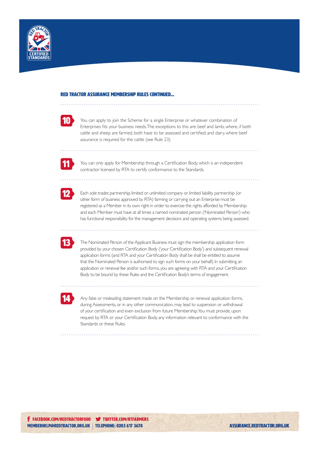

| $\mathcal{L}(\mathcal{L})$                                                               | .,     |  |
|------------------------------------------------------------------------------------------|--------|--|
|                                                                                          |        |  |
| $\mathcal{L}(\mathcal{L})$ and $\mathcal{L}(\mathcal{L})$ and $\mathcal{L}(\mathcal{L})$ | $\sim$ |  |

You can apply to join the Scheme for a single Enterprise or whatever combination of Enterprises fits your business needs. The exceptions to this are: beef and lamb, where, if both cattle and sheep are farmed, both have to be assessed and certified; and dairy, where beef assurance is required for the cattle (see Rule 23).



You can only apply for Membership through a Certification Body, which is an independent contractor licensed by RTA to certify conformance to the Standards.



Each sole trader, partnership, limited or unlimited company or limited liability partnership (or other form of business approved by RTA) farming or carrying out an Enterprise must be registered as a Member in its own right in order to exercise the rights afforded by Membership and each Member must have at all times a named nominated person ('Nominated Person') who has functional responsibility for the management decisions and operating systems being assessed.



The Nominated Person of the Applicant Business must sign the membership application form provided by your chosen Certification Body ('your Certification Body') and subsequent renewal application forms (and RTA and your Certification Body shall be shall be entitled to assume that the Nominated Person is authorised to sign such forms on your behalf). In submitting an application or renewal fee and/or such forms, you are agreeing with RTA and your Certification Body to be bound by these Rules and the Certification Body's terms of engagement.



Any false or misleading statement made on the Membership or renewal application forms, during Assessments, or in any other communication, may lead to suspension or withdrawal of your certification and even exclusion from future Membership. You must provide, upon request by RTA or your Certification Body, any information relevant to conformance with the Standards or these Rules.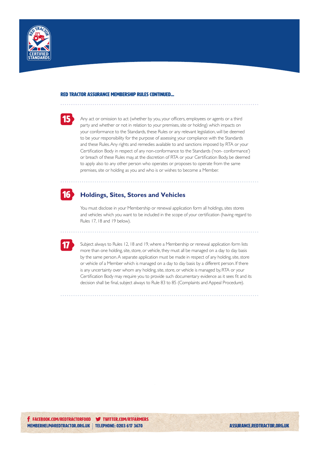

15

Any act or omission to act (whether by you, your officers, employees or agents or a third party and whether or not in relation to your premises, site or holding) which impacts on your conformance to the Standards, these Rules or any relevant legislation, will be deemed to be your responsibility for the purpose of assessing your compliance with the Standards and these Rules. Any rights and remedies available to and sanctions imposed by RTA or your Certification Body in respect of any non-conformance to the Standards ('non- conformance') or breach of these Rules may, at the discretion of RTA or your Certification Body, be deemed to apply also to any other person who operates or proposes to operate from the same premises, site or holding as you and who is or wishes to become a Member.



#### **Holdings, Sites, Stores and Vehicles**

You must disclose in your Membership or renewal application form all holdings, sites stores and vehicles which you want to be included in the scope of your certification (having regard to Rules 17, 18 and 19 below).



Subject always to Rules 12, 18 and 19, where a Membership or renewal application form lists more than one holding, site, store, or vehicle, they must all be managed on a day to day basis by the same person. A separate application must be made in respect of any holding, site, store or vehicle of a Member which is managed on a day to day basis by a different person. If there is any uncertainty over whom any holding, site, store, or vehicle is managed by, RTA or your Certification Body may require you to provide such documentary evidence as it sees fit and its decision shall be final, subject always to Rule 83 to 85 (Complaints and Appeal Procedure).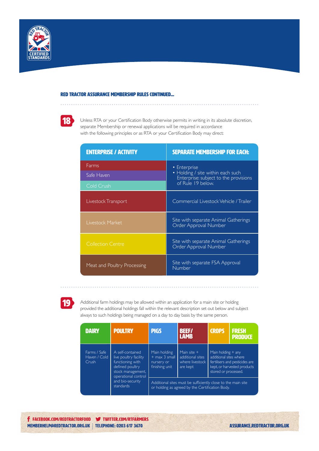



Unless RTA or your Certification Body otherwise permits in writing in its absolute discretion, separate Membership or renewal applications will be required in accordance with the following principles or as RTA or your Certification Body may direct:

| <b>ENTERPRISE / ACTIVITY</b> | <b>SEPARATE MEMBERSHIP FOR EACH:</b>                                                                            |  |
|------------------------------|-----------------------------------------------------------------------------------------------------------------|--|
| Farms                        | • Enterprise<br>• Holding / site within each such<br>Enterprise: subject to the provisions<br>of Rule 19 below. |  |
| Safe Haven                   |                                                                                                                 |  |
| Cold Crush                   |                                                                                                                 |  |
| Livestock Transport          | Commercial Livestock Vehicle / Trailer                                                                          |  |
| Livestock Market             | Site with separate Animal Gatherings<br>Order Approval Number                                                   |  |
| <b>Collection Centre</b>     | Site with separate Animal Gatherings<br>Order Approval Number                                                   |  |
| Meat and Poultry Processing  | Site with separate FSA Approval<br>Number                                                                       |  |



Additional farm holdings may be allowed within an application for a main site or holding provided the additional holdings fall within the relevant description set out below and subject always to such holdings being managed on a day to day basis by the same person.

| <b>DAIRY</b>                          | <b>POULTRY</b>                                                                                                               | <b>PIGS</b>                                                     | <b>BEEF/</b><br><b>LAMB</b>                                      | <b>CROPS</b>                                                           | <b>FRESH</b><br><b>PRODUCE</b>                                |
|---------------------------------------|------------------------------------------------------------------------------------------------------------------------------|-----------------------------------------------------------------|------------------------------------------------------------------|------------------------------------------------------------------------|---------------------------------------------------------------|
| Farms / Safe<br>Haven / Cold<br>Crush | A self-contained<br>live poultry facility<br>functioning with<br>defined poultry<br>stock management,<br>operational control | Main holding<br>$+$ max 3 small<br>nursery or<br>finishing unit | Main site $+$<br>additional sites<br>where livestock<br>are kept | Main holding $+$ any<br>additional sites where<br>stored or processed. | fertilisers and pesticides are<br>kept, or harvested products |
| and bio-security<br>standards         | Additional sites must be sufficiently close to the main site<br>or holding as agreed by the Certification Body.              |                                                                 |                                                                  |                                                                        |                                                               |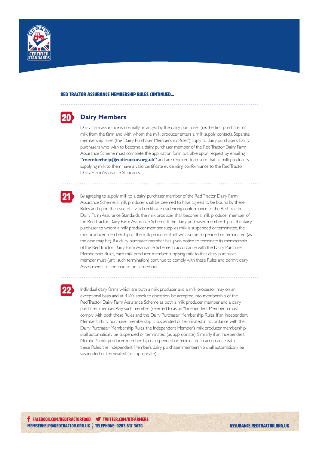



#### **Dairy Members**

Dairy farm assurance is normally arranged by the dairy purchaser (i.e. the first purchaser of milk from the farm and with whom the milk producer enters a milk supply contact). Separate membership rules (the 'Dairy Purchaser Membership Rules') apply to dairy purchasers. Dairy purchasers who wish to become a dairy purchaser member of the Red Tractor Dairy Farm Assurance Scheme must complete the application form available upon request by emailing **"memberhelp@redtractor.org.uk"** and are required to ensure that all milk producers supplying milk to them have a valid certificate evidencing conformance to the Red Tractor Dairy Farm Assurance Standards.



By agreeing to supply milk to a dairy purchaser member of the Red Tractor Dairy Farm Assurance Scheme, a milk producer shall be deemed to have agreed to be bound by these Rules and upon the issue of a valid certificate evidencing conformance to the Red Tractor Dairy Farm Assurance Standards, the milk producer shall become a milk producer member of the Red Tractor Dairy Farm Assurance Scheme. If the dairy purchaser membership of the dairy purchaser to whom a milk producer member supplies milk is suspended or terminated, the milk producer membership of the milk producer itself will also be suspended or terminated (as the case may be). If a dairy purchaser member has given notice to terminate its membership of the Red Tractor Dairy Farm Assurance Scheme in accordance with the Dairy Purchaser Membership Rules, each milk producer member supplying milk to that dairy purchaser member must (until such termination) continue to comply with these Rules and permit dairy Assessments to continue to be carried out.



Individual dairy farms which are both a milk producer and a milk processor may, on an exceptional basis and at RTA's absolute discretion, be accepted into membership of the Red Tractor Dairy Farm Assurance Scheme as both a milk producer member and a dairy purchaser member. Any such member (referred to as an "Independent Member") must comply with both these Rules and the Dairy Purchaser Membership Rules. If an Independent Member's dairy purchaser membership is suspended or terminated in accordance with the Dairy Purchaser Membership Rules, the Independent Member's milk producer membership shall automatically be suspended or terminated (as appropriate). Similarly, if an Independent Member's milk producer membership is suspended or terminated in accordance with these Rules, the Independent Member's dairy purchaser membership shall automatically be suspended or terminated (as appropriate).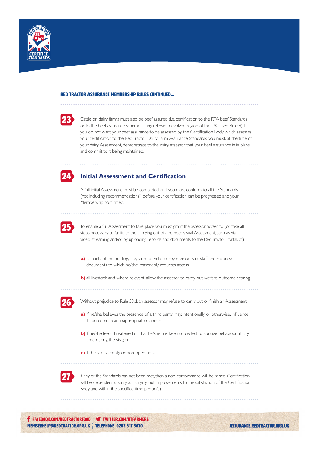

| $\mathcal{L}(\mathcal{L})$ and $\mathcal{L}(\mathcal{L})$ and $\mathcal{L}(\mathcal{L})$ and $\mathcal{L}(\mathcal{L})$<br>$\mathcal{L}(\mathcal{L})$<br>$\mathcal{L}(\mathcal{L})$ |  |
|-------------------------------------------------------------------------------------------------------------------------------------------------------------------------------------|--|
|                                                                                                                                                                                     |  |
| ۳                                                                                                                                                                                   |  |
| <b>Service Service</b>                                                                                                                                                              |  |

Cattle on dairy farms must also be beef assured (i.e. certification to the RTA beef Standards or to the beef assurance scheme in any relevant devolved region of the UK – see Rule 9). If you do not want your beef assurance to be assessed by the Certification Body which assesses your certification to the Red Tractor Dairy Farm Assurance Standards, you must, at the time of your dairy Assessment, demonstrate to the dairy assessor that your beef assurance is in place and commit to it being maintained.



#### **Initial Assessment and Certification**

A full initial Assessment must be completed, and you must conform to all the Standards (not including 'recommendations') before your certification can be progressed and your Membership confirmed.



To enable a full Assessment to take place you must grant the assessor access to (or take all steps necessary to facilitate the carrying out of a remote visual Assessment, such as via video-streaming and/or by uploading records and documents to the Red Tractor Portal, of):

- **a)** all parts of the holding, site, store or vehicle, key members of staff and records/ documents to which he/she reasonably requests access;
- **b)** all livestock and, where relevant, allow the assessor to carry out welfare outcome scoring.



Without prejudice to Rule 53.d, an assessor may refuse to carry out or finish an Assessment:

- **a)** if he/she believes the presence of a third party may, intentionally or otherwise, influence its outcome in an inappropriate manner;
- **b**) if he/she feels threatened or that he/she has been subjected to abusive behaviour at any time during the visit; or

**c)** if the site is empty or non-operational.



If any of the Standards has not been met, then a non-conformance will be raised. Certification will be dependent upon you carrying out improvements to the satisfaction of the Certification Body and within the specified time period(s).

**f** FACEBOOK.COM/REDTRACTORFOOD **W** TWITTER.COM/RTFARMERS MEMBERHELP@REDTRACTOR.ORG.UK | TELEPHONE: 0203 617 3670

**ASSURANCE.REDTRACTOR.ORG.UK**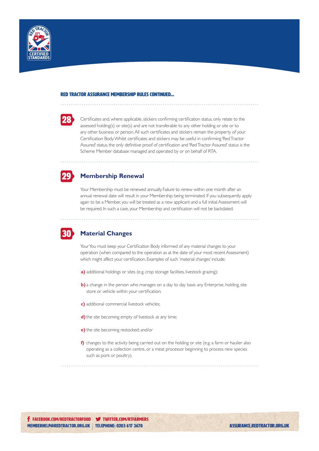



Certificates and, where applicable, stickers confirming certification status, only relate to the assessed holding(s) or site(s) and are not transferable to any other holding or site or to any other business or person. All such certificates and stickers remain the property of your Certification Body. Whilst certificates and stickers may be useful in confirming 'Red Tractor Assured' status, the only definitive proof of certification and 'Red Tractor Assured' status is the Scheme Member database managed and operated by or on behalf of RTA.

## 29

#### **Membership Renewal**

Your Membership must be renewed annually. Failure to renew within one month after an annual renewal date will result in your Membership being terminated. If you subsequently apply again to be a Member, you will be treated as a new applicant and a full initial Assessment will be required. In such a case, your Membership and certification will not be backdated.



#### **Material Changes**

Your You must keep your Certification Body informed of any material changes to your operation (when compared to the operation as at the date of your most recent Assessment) which might affect your certification. Examples of such 'material changes' include:

- **a)** additional holdings or sites (e.g. crop storage facilities, livestock grazing);
- **b**) a change in the person who manages on a day to day basis any Enterprise, holding, site store or vehicle within your certification;
- **c)** additional commercial livestock vehicles;
- **d)** the site becoming empty of livestock at any time;
- **e)** the site becoming restocked; and/or
- **f)** changes to the activity being carried out on the holding or site (e.g. a farm or haulier also operating as a collection centre, or a meat processor beginning to process new species such as pork or poultry).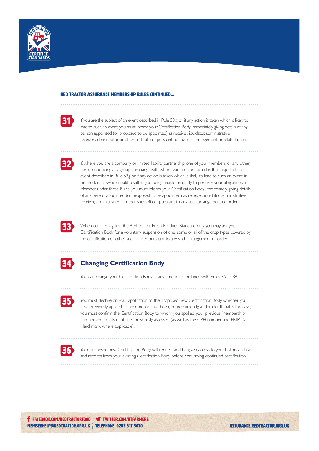

| $\mathcal{L}(\mathcal{L})$        |  |
|-----------------------------------|--|
|                                   |  |
| <b>Service Service</b><br>.,<br>٠ |  |
|                                   |  |

If you are the subject of an event described in Rule 53.g, or if any action is taken which is likely to lead to such an event, you must inform your Certification Body immediately giving details of any person appointed (or proposed to be appointed) as receiver, liquidator, administrative receiver, administrator or other such officer pursuant to any such arrangement or related order.



If, where you are a company or limited liability partnership, one of your members or any other person (including any group company) with whom you are connected, is the subject of an event described in Rule 53g or if any action is taken which is likely to lead to such an event, in circumstances which could result in you being unable properly to perform your obligations as a Member under these Rules, you must inform your Certification Body immediately, giving details of any person appointed (or proposed to be appointed) as receiver, liquidator, administrative receiver, administrator or other such officer pursuant to any such arrangement or order.



When certified against the Red Tractor Fresh Produce Standard only, you may ask your Certification Body for a voluntary suspension of one, some or all of the crop types covered by the certification or other such officer pursuant to any such arrangement or order.



#### **Changing Certification Body**

You can change your Certification Body at any time, in accordance with Rules 35 to 38.



You must declare on your application to the proposed new Certification Body whether you have previously applied to become, or have been, or are currently, a Member. If that is the case, you must confirm the Certification Body to whom you applied, your previous Membership number and details of all sites previously assessed (as well as the CPH number and PRIMO/ Herd mark, where applicable).



Your proposed new Certification Body will request and be given access to your historical data and records from your existing Certification Body before confirming continued certification.

. . . . . . . . . . . . . . . . . . .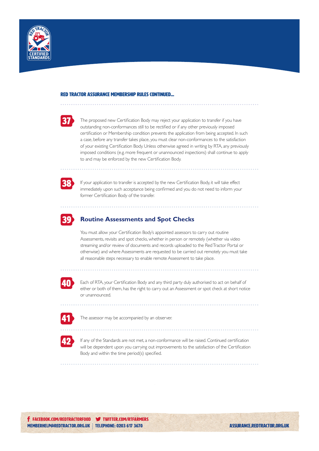



The proposed new Certification Body may reject your application to transfer if you have outstanding non-conformances still to be rectified or if any other previously imposed certification or Membership condition prevents the application from being accepted. In such a case, before any transfer takes place, you must clear non-conformances to the satisfaction of your existing Certification Body. Unless otherwise agreed in writing by RTA, any previously imposed conditions (e.g. more frequent or unannounced inspections) shall continue to apply to and may be enforced by the new Certification Body.



If your application to transfer is accepted by the new Certification Body, it will take effect immediately upon such acceptance being confirmed and you do not need to inform your former Certification Body of the transfer.



#### 39 **Routine Assessments and Spot Checks**

You must allow your Certification Body's appointed assessors to carry out routine Assessments, revisits and spot checks, whether in person or remotely (whether via video streaming and/or review of documents and records uploaded to the Red Tractor Portal or otherwise) and where Assessments are requested to be carried out remotely you must take all reasonable steps necessary to enable remote Assessment to take place.



Each of RTA, your Certification Body and any third party duly authorised to act on behalf of either or both of them, has the right to carry out an Assessment or spot check at short notice or unannounced.

| <b>Contract Contract Contract Contract Contract Contract Contract Contract Contract Contract Contract Contract Co</b> |                        |
|-----------------------------------------------------------------------------------------------------------------------|------------------------|
|                                                                                                                       |                        |
|                                                                                                                       |                        |
| <b>Service Service</b>                                                                                                | <b>Service Service</b> |
|                                                                                                                       | c                      |

The assessor may be accompanied by an observer.



If any of the Standards are not met, a non-conformance will be raised. Continued certification will be dependent upon you carrying out improvements to the satisfaction of the Certification Body and within the time period(s) specified.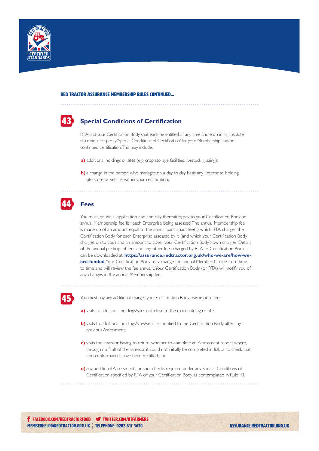

#### red tractor ASSURANCE membership rules continued...

### 43 **Special Conditions of Certification**

RTA and your Certification Body shall each be entitled, at any time and each in its absolute discretion, to specify 'Special Conditions of Certification' for your Membership and/or continued certification. This may include:

- **a)** additional holdings or sites (e.g. crop storage facilities, livestock grazing);
- **b)** a change in the person who manages on a day to day basis any Enterprise, holding, site store or vehicle within your certification;

#### 44 **Fees**

You must, on initial application and annually thereafter, pay to your Certification Body an annual Membership fee for each Enterprise being assessed. The annual Membership fee is made up of an amount equal to the annual participant fee(s) which RTA charges the Certification Body for each Enterprise assessed by it (and which your Certification Body charges on to you) and an amount to cover your Certification Body's own charges. Details of the annual participant fees and any other fees charged by RTA to Certification Bodies can be downloaded at: **https://assurance.redtractor.org.uk/who-we-are/how-weare-funded**. Your Certification Body may change the annual Membership fee from time to time and will review the fee annually. Your Certification Body (or RTA) will notify you of any changes in the annual Membership fee.



You must pay any additional charges your Certification Body may impose for:

- **a)** visits to additional holdings/sites not close to the main holding or site;
- **b)** visits to additional holdings/sites/vehicles notified to the Certification Body after any previous Assessment;
- **c)** visits the assessor having to return, whether to complete an Assessment report where, through no fault of the assessor, it could not initially be completed in full, or to check that non-conformances have been rectified; and
- **d)** any additional Assessments or spot checks required under any Special Conditions of Certification specified by RTA or your Certification Body, as contemplated in Rule 43.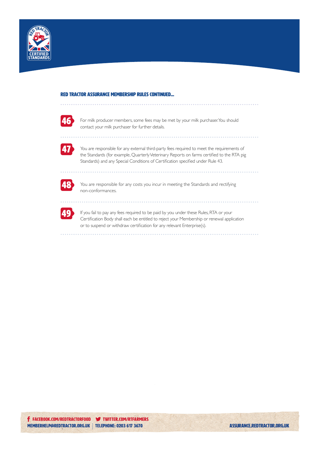



For milk producer members, some fees may be met by your milk purchaser. You should contact your milk purchaser for further details.



You are responsible for any external third-party fees required to meet the requirements of the Standards (for example, Quarterly Veterinary Reports on farms certified to the RTA pig Standards) and any Special Conditions of Certification specified under Rule 43.



You are responsible for any costs you incur in meeting the Standards and rectifying non-conformances.



If you fail to pay any fees required to be paid by you under these Rules, RTA or your Certification Body shall each be entitled to reject your Membership or renewal application or to suspend or withdraw certification for any relevant Enterprise(s).

. . . . . . . . . . . . .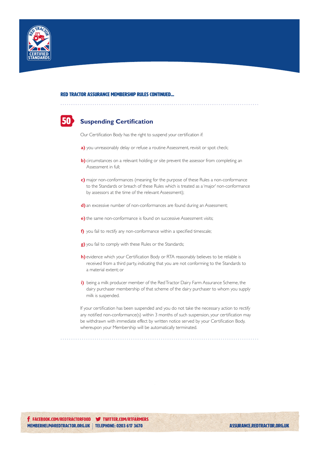

#### 50 **Suspending Certification**

Our Certification Body has the right to suspend your certification if:

- **a)** you unreasonably delay or refuse a routine Assessment, revisit or spot check;
- **b)** circumstances on a relevant holding or site prevent the assessor from completing an Assessment in full;
- **c)** major non-conformances (meaning for the purpose of these Rules a non-conformance to the Standards or breach of these Rules which is treated as a 'major' non-conformance by assessors at the time of the relevant Assessment);
- **d)** an excessive number of non-conformances are found during an Assessment;
- **e)** the same non-conformance is found on successive Assessment visits;
- **f**) you fail to rectify any non-conformance within a specified timescale;
- **g)** you fail to comply with these Rules or the Standards;
- **h)** evidence which your Certification Body or RTA reasonably believes to be reliable is received from a third party, indicating that you are not conforming to the Standards to a material extent; or
- **i)** being a milk producer member of the Red Tractor Dairy Farm Assurance Scheme, the dairy purchaser membership of that scheme of the dairy purchaser to whom you supply milk is suspended.

If your certification has been suspended and you do not take the necessary action to rectify any notified non-conformance(s) within 3 months of such suspension, your certification may be withdrawn with immediate effect by written notice served by your Certification Body, whereupon your Membership will be automatically terminated.

. . . . . . . . . . . . . . . . . .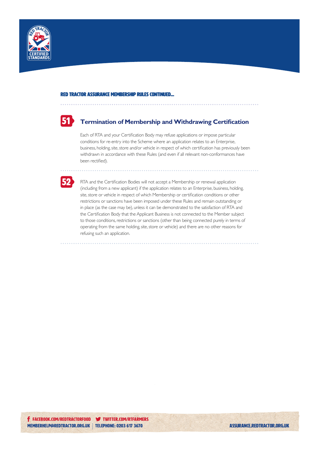



#### **Termination of Membership and Withdrawing Certification**

Each of RTA and your Certification Body may refuse applications or impose particular conditions for re-entry into the Scheme where an application relates to an Enterprise, business, holding, site, store and/or vehicle in respect of which certification has previously been withdrawn in accordance with these Rules (and even if all relevant non-conformances have been rectified).



RTA and the Certification Bodies will not accept a Membership or renewal application (including from a new applicant) if the application relates to an Enterprise, business, holding, site, store or vehicle in respect of which Membership or certification conditions or other restrictions or sanctions have been imposed under these Rules and remain outstanding or in place (as the case may be), unless it can be demonstrated to the satisfaction of RTA and the Certification Body that the Applicant Business is not connected to the Member subject to those conditions, restrictions or sanctions (other than being connected purely in terms of operating from the same holding, site, store or vehicle) and there are no other reasons for refusing such an application.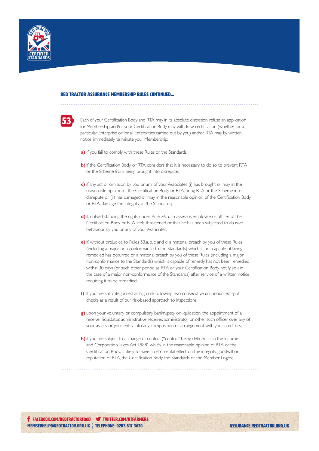



Each of your Certification Body and RTA may, in its absolute discretion, refuse an application for Membership, and/or your Certification Body may withdraw certification (whether for a particular Enterprise or for all Enterprises carried out by you) and/or RTA may, by written notice, immediately terminate your Membership:

- **a)** if you fail to comply with these Rules or the Standards;
- **b)** if the Certification Body or RTA considers that it is necessary to do so to prevent RTA or the Scheme from being brought into disrepute;
- **c)** if any act or omission by you or any of your Associates (i) has brought or may, in the reasonable opinion of the Certification Body or RTA, bring RTA or the Scheme into disrepute or (ii) has damaged or may, in the reasonable opinion of the Certification Body or RTA, damage the integrity of the Standards;
- **d)**if, notwithstanding the rights under Rule 26.b, an assessor, employee or officer of the Certification Body or RTA feels threatened or that he has been subjected to abusive behaviour by you or any of your Associates;
- **e)** if, without prejudice to Rules 53.a, b, c and d, a material breach by you of these Rules (including a major non-conformance to the Standards) which is not capable of being remedied has occurred or a material breach by you of these Rules (including a major non-conformance to the Standards) which is capable of remedy has not been remedied within 30 days (or such other period as RTA or your Certification Body notify you in the case of a major non-conformance of the Standards) after service of a written notice requiring it to be remedied;
- **f)** if you are still categorised as high risk following two consecutive unannounced spot checks as a result of our risk-based approach to inspections;
- **g)** upon your voluntary or compulsory bankruptcy or liquidation, the appointment of a receiver, liquidator, administrative receiver, administrator or other such officer over any of your assets, or your entry into any composition or arrangement with your creditors;
- **h)**if you are subject to a change of control ("control" being defined as in the Income and Corporation Taxes Act 1988) which, in the reasonable opinion of RTA or the Certification Body, is likely to have a detrimental effect on the integrity, goodwill or reputation of RTA, the Certification Body, the Standards or the Member Logos;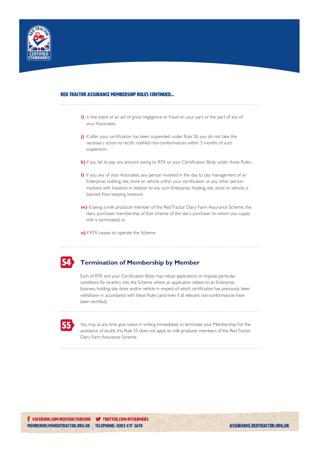

#### red tractor ASSURANCE membership rules continued...

- **i)** in the event of an act of gross negligence or fraud on your part or the part of any of your Associates;
- **j)** if, after your certification has been suspended under Rule 50, you do not take the necessary action to rectify notified non-conformances within 3 months of such suspension;
- **k)** if you fail to pay any amount owing to RTA or your Certification Body under these Rules;
- **l)** if you, any of your Associates, any person involved in the day to day management of an Enterprise, holding, site, store or vehicle within your certification or any other person involved with livestock in relation to any such Enterprise, holding, site, store or vehicle, is banned from keeping livestock;
- **m)** if, being a milk producer member of the Red Tractor Dairy Farm Assurance Scheme, the dairy purchaser membership of that scheme of the dairy purchaser to whom you supply milk is terminated; or
- **n)**if RTA ceases to operate the Scheme.



#### **Termination of Membership by Member**

Each of RTA and your Certification Body may refuse applications or impose particular conditions for re-entry into the Scheme where an application relates to an Enterprise, business, holding, site, store and/or vehicle in respect of which certification has previously been withdrawn in accordance with these Rules (and even if all relevant non-conformances have been rectified).



You may at any time give notice in writing immediately to terminate your Membership. For the avoidance of doubt, this Rule 55 does not apply to milk producer members of the Red Tractor Dairy Farm Assurance Scheme.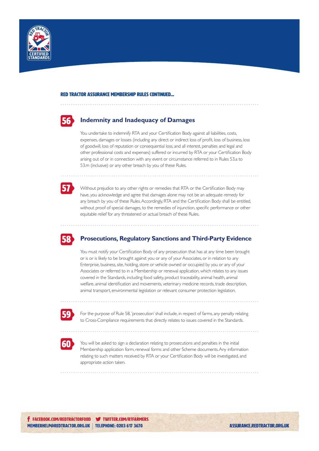

## 56

#### **Indemnity and Inadequacy of Damages**

You undertake to indemnify RTA and your Certification Body against all liabilities, costs, expenses, damages or losses (including any direct or indirect loss of profit, loss of business, loss of goodwill, loss of reputation or consequential loss, and all interest, penalties and legal and other professional costs and expenses) suffered or incurred by RTA or your Certification Body arising out of or in connection with any event or circumstance referred to in Rules 53.a to 53.m (inclusive) or any other breach by you of these Rules.



Without prejudice to any other rights or remedies that RTA or the Certification Body may have, you acknowledge and agree that damages alone may not be an adequate remedy for any breach by you of these Rules. Accordingly, RTA and the Certification Body shall be entitled, without proof of special damages, to the remedies of injunction, specific performance or other equitable relief for any threatened or actual breach of these Rules.



#### **Prosecutions, Regulatory Sanctions and Third-Party Evidence**

You must notify your Certification Body of any prosecution that has at any time been brought or is or is likely to be brought against you or any of your Associates, or in relation to any Enterprise, business, site, holding, store or vehicle owned or occupied by you or any of your Associates or referred to in a Membership or renewal application, which relates to any issues covered in the Standards, including food safety, product traceability, animal health, animal welfare, animal identification and movements, veterinary medicine records, trade description, animal transport, environmental legislation or relevant consumer protection legislation.



For the purpose of Rule 58, 'prosecution' shall include, in respect of farms, any penalty relating to Cross-Compliance requirements that directly relates to issues covered in the Standards.



You will be asked to sign a declaration relating to prosecutions and penalties in the initial Membership application form, renewal forms and other Scheme documents. Any information relating to such matters received by RTA or your Certification Body will be investigated, and appropriate action taken.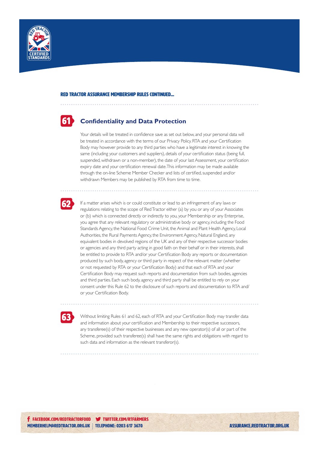

#### **61 Confidentiality and Data Protection**

Your details will be treated in confidence save as set out below, and your personal data will be treated in accordance with the terms of our Privacy Policy. RTA and your Certification Body may however provide to any third parties who have a legitimate interest in knowing the same (including your customers and suppliers), details of your certification status (being full, suspended, withdrawn or a non-member), the date of your last Assessment, your certification expiry date and your certification renewal date. This information may be made available through the on-line Scheme Member Checker and lists of certified, suspended and/or withdrawn Members may be published by RTA from time to time.

## 62

If a matter arises which is or could constitute or lead to an infringement of any laws or regulations relating to the scope of Red Tractor either (a) by you or any of your Associates or (b) which is connected directly or indirectly to you, your Membership or any Enterprise, you agree that any relevant regulatory or administrative body or agency, including the Food Standards Agency, the National Food Crime Unit, the Animal and Plant Health Agency, Local Authorities, the Rural Payments Agency, the Environment Agency, Natural England, any equivalent bodies in devolved regions of the UK and any of their respective successor bodies or agencies and any third party acting in good faith on their behalf or in their interests, shall be entitled to provide to RTA and/or your Certification Body any reports or documentation produced by such body, agency or third party in respect of the relevant matter (whether or not requested by RTA or your Certification Body) and that each of RTA and your Certification Body may request such reports and documentation from such bodies, agencies and third parties. Each such body, agency and third party shall be entitled to rely on your consent under this Rule 62 to the disclosure of such reports and documentation to RTA and/ or your Certification Body.

63

Without limiting Rules 61 and 62, each of RTA and your Certification Body may transfer data and information about your certification and Membership to their respective successors, any transferee(s) of their respective businesses and any new operator(s) of all or part of the Scheme, provided such transferee(s) shall have the same rights and obligations with regard to such data and information as the relevant transferor(s).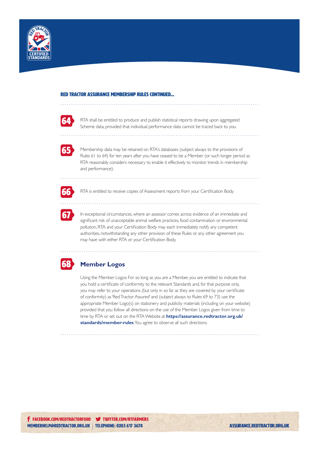



RTA shall be entitled to produce and publish statistical reports drawing upon aggregated Scheme data, provided that individual performance data cannot be traced back to you.



Membership data may be retained on RTA's databases (subject always to the provisions of Rules 61 to 64) for ten years after you have ceased to be a Member (or such longer period as RTA reasonably considers necessary to enable it effectively to monitor trends in membership and performance).



RTA is entitled to receive copies of Assessment reports from your Certification Body.



In exceptional circumstances, where an assessor comes across evidence of an immediate and significant risk of unacceptable animal welfare practices, food contamination or environmental pollution, RTA and your Certification Body may each immediately notify any competent authorities, notwithstanding any other provision of these Rules or any other agreement you may have with either RTA or your Certification Body.



#### 68 **Member Logos**

Using the Member Logos: For so long as you are a Member, you are entitled to indicate that you hold a certificate of conformity to the relevant Standards and, for that purpose only, you may refer to your operations (but only in so far as they are covered by your certificate of conformity) as 'Red Tractor Assured' and (subject always to Rules 69 to 73) use the appropriate Member Logo(s) on stationery and publicity materials (including on your website) provided that you follow all directions on the use of the Member Logos given from time to time by RTA or set out on the RTA Website at **https://assurance.redtractor.org.uk/ standards/member-rules**. You agree to observe all such directions.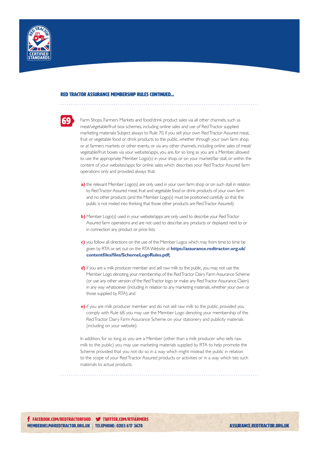



Farm Shops, Farmers Markets and food/drink product sales via all other channels, such as meat/vegetable/fruit box schemes, including online sales and use of Red Tractor supplied marketing materials: Subject always to Rule 70, if you sell your own Red Tractor Assured meat, fruit or vegetable food or drink products to the public, whether through your own farm shop, or at farmers markets or other events, or via any other channels, including online sales of meat/ vegetable/fruit boxes via your website/apps, you are, for so long as you are a Member, allowed to use the appropriate Member Logo(s) in your shop, or on your market/fair stall, or within the content of your websites/apps for online sales which describes your Red Tractor Assured farm operations only and provided always that:

- **a)** the relevant Member Logo(s) are only used in your own farm shop or on such stall in relation to Red Tractor Assured meat, fruit and vegetable food or drink products of your own farm and no other products (and the Member Logo(s) must be positioned carefully so that the public is not misled into thinking that those other products are Red Tractor Assured);
- **b)** Member Logo(s) used in your website/apps are only used to describe your Red Tractor Assured farm operations and are not used to describe any products or displayed next to or in connection any product or price lists;
- **c)** you follow all directions on the use of the Member Logos which may from time to time be given by RTA or set out on the RTA Website at **https://assurance.redtractor.org.uk/ contentfiles/files/SchemeLogoRules.pdf;**
- **d)** if you are a milk producer member and sell raw milk to the public, you may not use the Member Logo denoting your membership of the Red Tractor Dairy Farm Assurance Scheme (or use any other version of the Red Tractor logo or make any Red Tractor Assurance Claim) in any way whatsoever (including in relation to any marketing materials, whether your own or those supplied by RTA); and
- **e)** if you are milk producer member and do not sell raw milk to the public, provided you comply with Rule 68, you may use the Member Logo denoting your membership of the Red Tractor Dairy Farm Assurance Scheme on your stationery and publicity materials (including on your website).

In addition, for so long as you are a Member (other than a milk producer who sells raw milk to the public) you may use marketing materials supplied by RTA to help promote the Scheme provided that you not do so in a way which might mislead the public in relation to the scope of your Red Tractor Assured products or activities or in a way which ties such materials to actual products.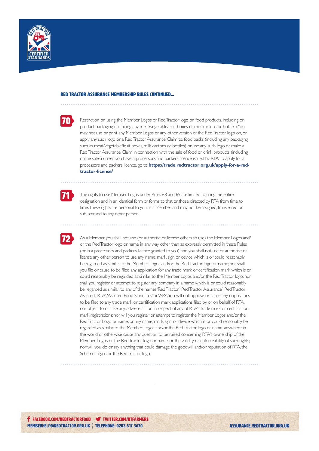



Restriction on using the Member Logos or Red Tractor logo on food products, including on product packaging (including any meat/vegetable/fruit boxes or milk cartons or bottles): You may not use or print any Member Logos or any other version of the Red Tractor logo on, or apply any such logo or a Red Tractor Assurance Claim to, food packs (including any packaging such as meat/vegetable/fruit boxes, milk cartons or bottles) or use any such logo or make a Red Tractor Assurance Claim in connection with the sale of food or drink products (including online sales) unless you have a processors and packers licence issued by RTA. To apply for a processors and packers licence, go to **https://trade.redtractor.org.uk/apply-for-a-redtractor-license/**



The rights to use Member Logos under Rules 68 and 69 are limited to using the entire designation and in an identical form or forms to that or those directed by RTA from time to time. These rights are personal to you as a Member and may not be assigned, transferred or sub-licensed to any other person.

72

As a Member, you shall not use (or authorise or license others to use) the Member Logos and/ or the Red Tractor logo or name in any way other than as expressly permitted in these Rules (or in a processors and packers licence granted to you) and you shall not use or authorise or license any other person to use any name, mark, sign or device which is or could reasonably be regarded as similar to the Member Logos and/or the Red Tractor logo or name; nor shall you file or cause to be filed any application for any trade mark or certification mark which is or could reasonably be regarded as similar to the Member Logos and/or the Red Tractor logo; nor shall you register or attempt to register any company in a name which is or could reasonably be regarded as similar to any of the names 'Red Tractor', 'Red Tractor Assurance', 'Red Tractor Assured', 'RTA', 'Assured Food Standards' or 'AFS'. You will not oppose or cause any oppositions to be filed to any trade mark or certification mark applications filed by or on behalf of RTA, nor object to or take any adverse action in respect of any of RTA's trade mark or certification mark registrations; nor will you register or attempt to register the Member Logos and/or the Red Tractor Logo or name, or any name, mark, sign, or device which is or could reasonably be regarded as similar to the Member Logos and/or the Red Tractor logo or name, anywhere in the world or otherwise cause any question to be raised concerning RTA's ownership of the Member Logos or the Red Tractor logo or name, or the validity or enforceability of such rights; nor will you do or say anything that could damage the goodwill and/or reputation of RTA, the Scheme Logos or the Red Tractor logo.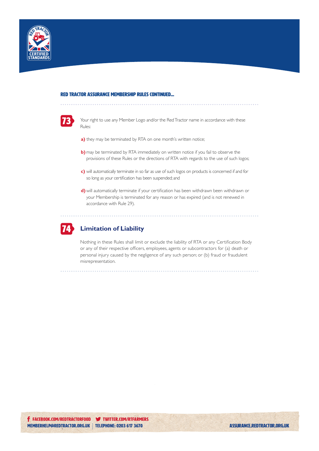



Your right to use any Member Logo and/or the Red Tractor name in accordance with these Rules:

- **a)** they may be terminated by RTA on one month's written notice;
- **b)** may be terminated by RTA immediately on written notice if you fail to observe the provisions of these Rules or the directions of RTA with regards to the use of such logos;
- **c)** will automatically terminate in so far as use of such logos on products is concerned if and for so long as your certification has been suspended; and
- **d)** will automatically terminate if your certification has been withdrawn been withdrawn or your Membership is terminated for any reason or has expired (and is not renewed in accordance with Rule 29).



#### 74 **Limitation of Liability**

Nothing in these Rules shall limit or exclude the liability of RTA or any Certification Body or any of their respective officers, employees, agents or subcontractors for (a) death or personal injury caused by the negligence of any such person; or (b) fraud or fraudulent misrepresentation.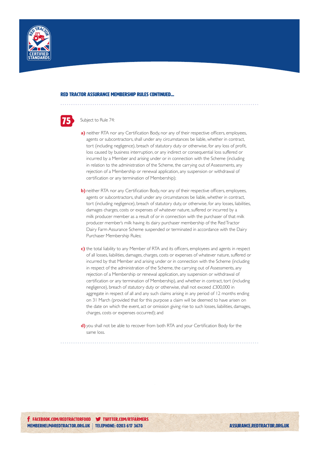

## 75

#### Subject to Rule 74:

- a) neither RTA nor any Certification Body, nor any of their respective officers, employees, agents or subcontractors, shall under any circumstances be liable, whether in contract, tort (including negligence), breach of statutory duty or otherwise, for any loss of profit, loss caused by business interruption, or any indirect or consequential loss suffered or incurred by a Member and arising under or in connection with the Scheme (including in relation to the administration of the Scheme, the carrying out of Assessments, any rejection of a Membership or renewal application, any suspension or withdrawal of certification or any termination of Membership);
- **b**) neither RTA nor any Certification Body, nor any of their respective officers, employees, agents or subcontractors, shall under any circumstances be liable, whether in contract, tort (including negligence), breach of statutory duty, or otherwise, for any losses, liabilities, damages charges, costs or expenses of whatever nature, suffered or incurred by a milk producer member as a result of or in connection with the purchaser of that milk producer member's milk having its dairy purchaser membership of the Red Tractor Dairy Farm Assurance Scheme suspended or terminated in accordance with the Dairy Purchaser Membership Rules;
- **c)** the total liability to any Member of RTA and its officers, employees and agents in respect of all losses, liabilities, damages, charges, costs or expenses of whatever nature, suffered or incurred by that Member and arising under or in connection with the Scheme (including in respect of the administration of the Scheme, the carrying out of Assessments, any rejection of a Membership or renewal application, any suspension or withdrawal of certification or any termination of Membership), and whether in contract, tort (including negligence), breach of statutory duty or otherwise, shall not exceed £300,000 in aggregate in respect of all and any such claims arising in any period of 12 months ending on 31 March (provided that for this purpose a claim will be deemed to have arisen on the date on which the event, act or omission giving rise to such losses, liabilities, damages, charges, costs or expenses occurred); and
- **d)** you shall not be able to recover from both RTA and your Certification Body for the same loss.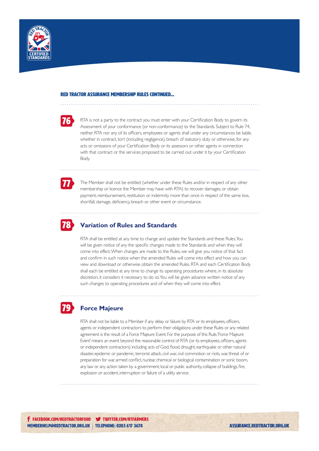



RTA is not a party to the contract you must enter with your Certification Body to govern its Assessment of your conformance (or non-conformance) to the Standards. Subject to Rule 74, neither RTA nor any of its officers, employees or agents shall under any circumstances be liable, whether in contract, tort (including negligence), breach of statutory duty or otherwise, for any acts or omissions of your Certification Body or its assessors or other agents in connection with that contract or the services proposed to be carried out under it by your Certification Body.



The Member shall not be entitled (whether under these Rules and/or in respect of any other membership or licence the Member may have with RTA) to recover damages, or obtain payment, reimbursement, restitution or indemnity more than once in respect of the same loss, shortfall, damage, deficiency, breach or other event or circumstance.



79

#### **Variation of Rules and Standards**

RTA shall be entitled at any time to change and update the Standards and these Rules. You will be given notice of any the specific changes made to the Standards and when they will come into effect. When changes are made to the Rules, we will give you notice of that fact and confirm in such notice when the amended Rules will come into effect and how you can view and download or otherwise obtain the amended Rules. RTA and each Certification Body shall each be entitled at any time to change its operating procedures where, in its absolute discretion, it considers it necessary to do so. You will be given advance written notice of any such changes to operating procedures and of when they will come into effect.

### **Force Majeure**

RTA shall not be liable to a Member if any delay or failure by RTA or its employees, officers, agents or independent contractors to perform their obligations under these Rules or any related agreement is the result of a Force Majeure Event. For the purpose of this Rule, 'Force Majeure Event' means an event beyond the reasonable control of RTA (or its employees, officers, agents or independent contractors) including acts of God, flood, drought, earthquake or other natural disaster, epidemic or pandemic, terrorist attack, civil war, civil commotion or riots, war, threat of or preparation for war, armed conflict, nuclear, chemical or biological contamination or sonic boom, any law or any action taken by a government, local or public authority, collapse of buildings, fire, explosion or accident, interruption or failure of a utility service.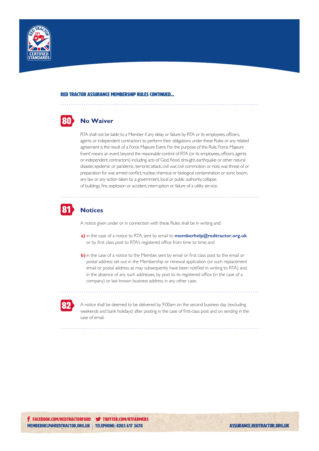

#### **80** No Waiver

RTA shall not be liable to a Member if any delay or failure by RTA or its employees, officers, agents or independent contractors to perform their obligations under these Rules or any related agreement is the result of a Force Majeure Event. For the purpose of this Rule, 'Force Majeure Event' means an event beyond the reasonable control of RTA (or its employees, officers, agents or independent contractors) including acts of God, flood, drought, earthquake or other natural disaster, epidemic or pandemic, terrorist attack, civil war, civil commotion or riots, war, threat of or preparation for war, armed conflict, nuclear, chemical or biological contamination or sonic boom, any law or any action taken by a government, local or public authority, collapse of buildings, fire, explosion or accident, interruption or failure of a utility service.



#### **Notices**

A notice given under or in connection with these Rules shall be in writing and:

- **a)** in the case of a notice to RTA, sent by email to **memberhelp@redtractor.org.uk** or by first class post to RTA's registered office from time to time; and
- **b**) in the case of a notice to the Member, sent by email or first class post to the email or postal address set out in the Membership or renewal application (or such replacement email or postal address as may subsequently have been notified in writing to RTA) and, in the absence of any such addresses, by post to its registered office (in the case of a company) or last known business address in any other case.



A notice shall be deemed to be delivered by 9.00am on the second business day (excluding weekends and bank holidays) after posting in the case of first-class post and on sending in the case of email.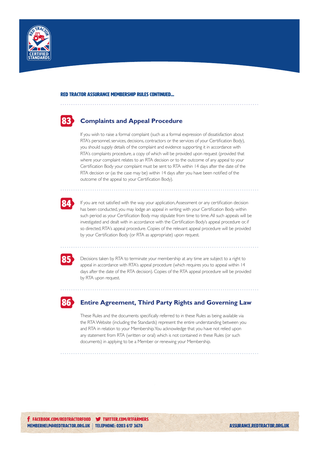

## 83

#### **Complaints and Appeal Procedure**

If you wish to raise a formal complaint (such as a formal expression of dissatisfaction about RTA's personnel, services, decisions, contractors or the services of your Certification Body), you should supply details of the complaint and evidence supporting it in accordance with RTA's complaints procedure, a copy of which will be provided upon request (provided that where your complaint relates to an RTA decision or to the outcome of any appeal to your Certification Body your complaint must be sent to RTA within 14 days after the date of the RTA decision or (as the case may be) within 14 days after you have been notified of the outcome of the appeal to your Certification Body).



If you are not satisfied with the way your application, Assessment or any certification decision has been conducted, you may lodge an appeal in writing with your Certification Body within such period as your Certification Body may stipulate from time to time. All such appeals will be investigated and dealt with in accordance with the Certification Body's appeal procedure or, if so directed, RTA's appeal procedure. Copies of the relevant appeal procedure will be provided by your Certification Body (or RTA as appropriate) upon request.

85

Decisions taken by RTA to terminate your membership at any time are subject to a right to appeal in accordance with RTA's appeal procedure (which requires you to appeal within 14 days after the date of the RTA decision). Copies of the RTA appeal procedure will be provided by RTA upon request.



#### **Entire Agreement, Third Party Rights and Governing Law**

These Rules and the documents specifically referred to in these Rules as being available via the RTA Website (including the Standards) represent the entire understanding between you and RTA in relation to your Membership. You acknowledge that you have not relied upon any statement from RTA (written or oral) which is not contained in these Rules (or such documents) in applying to be a Member or renewing your Membership.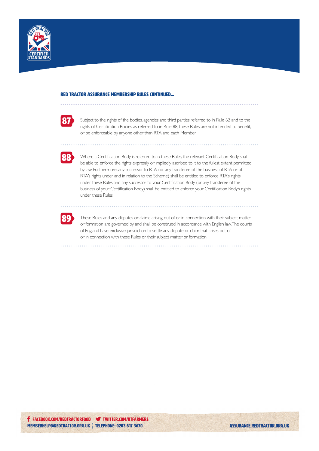



Subject to the rights of the bodies, agencies and third parties referred to in Rule 62 and to the rights of Certification Bodies as referred to in Rule 88, these Rules are not intended to benefit, or be enforceable by, anyone other than RTA and each Member.



Where a Certification Body is referred to in these Rules, the relevant Certification Body shall be able to enforce the rights expressly or impliedly ascribed to it to the fullest extent permitted by law. Furthermore, any successor to RTA (or any transferee of the business of RTA or of RTA's rights under and in relation to the Scheme) shall be entitled to enforce RTA's rights under these Rules and any successor to your Certification Body (or any transferee of the business of your Certification Body) shall be entitled to enforce your Certification Body's rights under these Rules.



These Rules and any disputes or claims arising out of or in connection with their subject matter or formation are governed by and shall be construed in accordance with English law. The courts of England have exclusive jurisdiction to settle any dispute or claim that arises out of or in connection with these Rules or their subject matter or formation.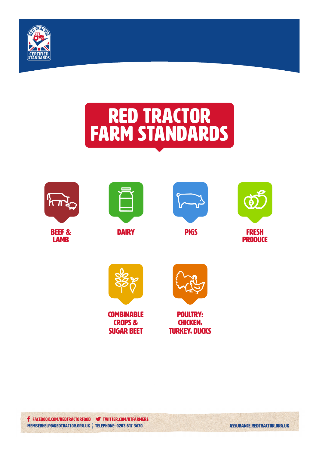

# red tractor farm standards







**DAIRY** 









**COMBINABLE** crops & sugar beet



POULTRY: CHICKEN, TURKEY, DUCKS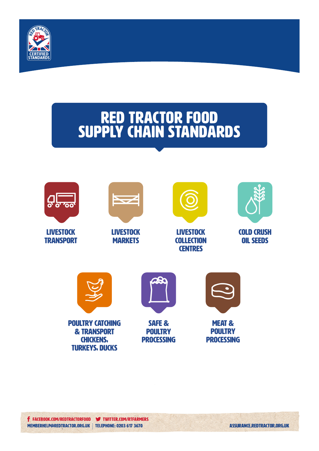

## RED TRACTOR FOOD SUPPLY CHAIN STANDARDS